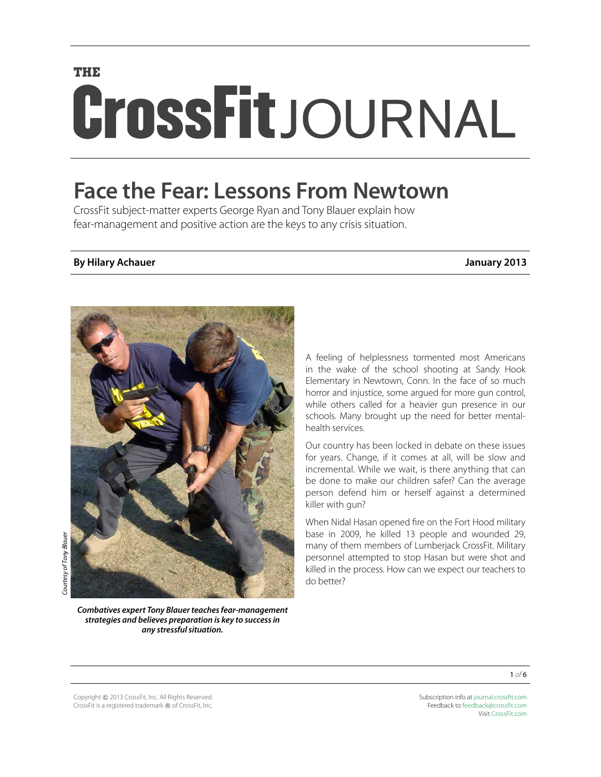# **THE** CrossFitJOURNAL

## **Face the Fear: Lessons From Newtown**

CrossFit subject-matter experts George Ryan and Tony Blauer explain how fear-management and positive action are the keys to any crisis situation.

#### **By Hilary Achauer January 2013**

A feeling of helplessness tormented most Americans in the wake of the school shooting at Sandy Hook Elementary in Newtown, Conn. In the face of so much horror and injustice, some argued for more gun control, while others called for a heavier gun presence in our schools. Many brought up the need for better mentalhealth services.

Our country has been locked in debate on these issues for years. Change, if it comes at all, will be slow and incremental. While we wait, is there anything that can be done to make our children safer? Can the average person defend him or herself against a determined killer with gun?

When Nidal Hasan opened fire on the Fort Hood military base in 2009, he killed 13 people and wounded 29, many of them members of Lumberjack CrossFit. Military personnel attempted to stop Hasan but were shot and killed in the process. How can we expect our teachers to do better?

*any stressful situation.*

Copyright © 2013 CrossFit, Inc. All Rights Reserved.

CrossFit is a registered trademark ® of CrossFit, Inc.

Subscription info at [journal.crossfit.com](http://journal.crossfit.com) Feedback to [feedback@crossfit.com](mailto:feedback@crossfit.com) Visit [CrossFit.com](http://www.crossfit.com)



**1** *of* **6**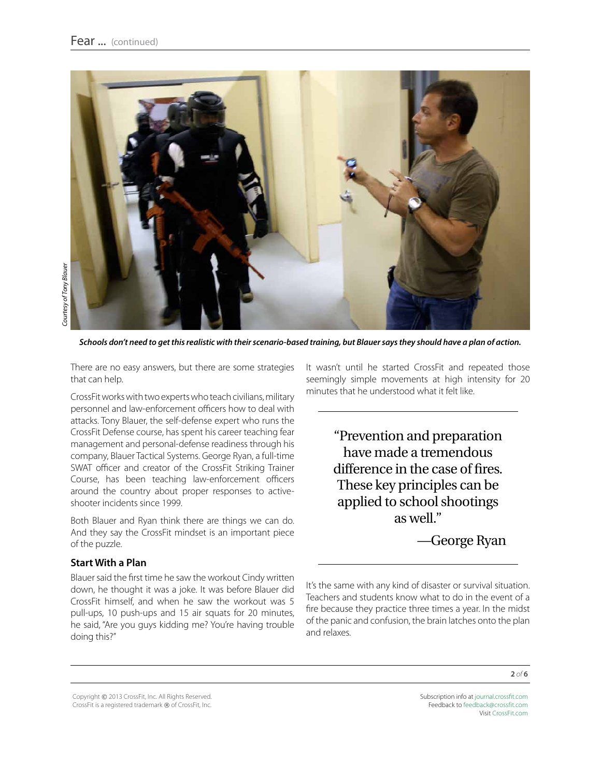

*Schools don't need to get this realistic with their scenario-based training, but Blauer says they should have a plan of action.* 

There are no easy answers, but there are some strategies that can help.

CrossFit works with two experts who teach civilians, military personnel and law-enforcement officers how to deal with attacks. Tony Blauer, the self-defense expert who runs the CrossFit Defense course, has spent his career teaching fear management and personal-defense readiness through his company, Blauer Tactical Systems. George Ryan, a full-time SWAT officer and creator of the CrossFit Striking Trainer Course, has been teaching law-enforcement officers around the country about proper responses to activeshooter incidents since 1999.

Both Blauer and Ryan think there are things we can do. And they say the CrossFit mindset is an important piece of the puzzle.

#### **Start With a Plan**

Blauer said the first time he saw the workout Cindy written down, he thought it was a joke. It was before Blauer did CrossFit himself, and when he saw the workout was 5 pull-ups, 10 push-ups and 15 air squats for 20 minutes, he said, "Are you guys kidding me? You're having trouble doing this?"

It wasn't until he started CrossFit and repeated those seemingly simple movements at high intensity for 20 minutes that he understood what it felt like.

> "Prevention and preparation have made a tremendous difference in the case of fires. These key principles can be applied to school shootings as well."

> > —George Ryan

It's the same with any kind of disaster or survival situation. Teachers and students know what to do in the event of a fire because they practice three times a year. In the midst of the panic and confusion, the brain latches onto the plan and relaxes.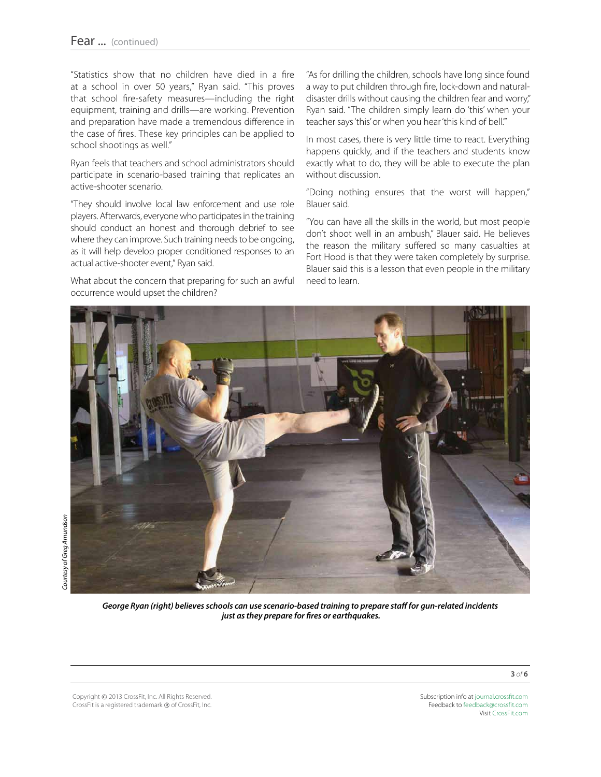"Statistics show that no children have died in a fire at a school in over 50 years," Ryan said. "This proves that school fire-safety measures—including the right equipment, training and drills—are working. Prevention and preparation have made a tremendous difference in the case of fires. These key principles can be applied to school shootings as well."

Ryan feels that teachers and school administrators should participate in scenario-based training that replicates an active-shooter scenario.

"They should involve local law enforcement and use role players. Afterwards, everyone who participates in the training should conduct an honest and thorough debrief to see where they can improve. Such training needs to be ongoing, as it will help develop proper conditioned responses to an actual active-shooter event," Ryan said.

What about the concern that preparing for such an awful occurrence would upset the children?

"As for drilling the children, schools have long since found a way to put children through fire, lock-down and naturaldisaster drills without causing the children fear and worry," Ryan said. "The children simply learn do 'this' when your teacher says 'this' or when you hear 'this kind of bell.'"

In most cases, there is very little time to react. Everything happens quickly, and if the teachers and students know exactly what to do, they will be able to execute the plan without discussion.

"Doing nothing ensures that the worst will happen," Blauer said.

"You can have all the skills in the world, but most people don't shoot well in an ambush," Blauer said. He believes the reason the military suffered so many casualties at Fort Hood is that they were taken completely by surprise. Blauer said this is a lesson that even people in the military need to learn.



*George Ryan (right) believes schools can use scenario-based training to prepare staff for gun-related incidents just as they prepare for fires or earthquakes.* 

Copyright © 2013 CrossFit, Inc. All Rights Reserved. CrossFit is a registered trademark ® of CrossFit, Inc. Subscription info at [journal.crossfit.com](http://journal.crossfit.com) Feedback to [feedback@crossfit.com](mailto:feedback@crossfit.com) Visit [CrossFit.com](http://www.crossfit.com)

**3** *of* **6**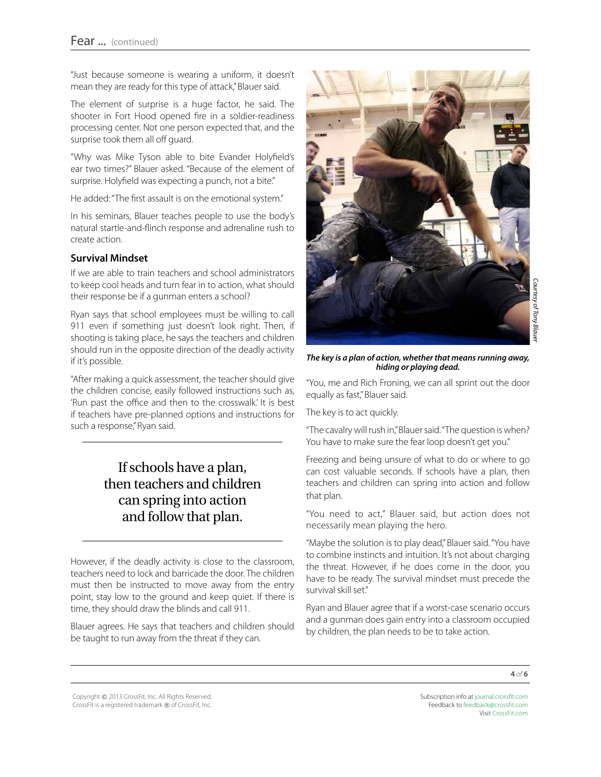"Just because someone is wearing a uniform, it doesn't mean they are ready for this type of attack," Blauer said.

The element of surprise is a huge factor, he said. The shooter in Fort Hood opened fire in a soldier-readiness processing center. Not one person expected that, and the surprise took them all off guard.

"Why was Mike Tyson able to bite Evander Holyfield's ear two times?" Blauer asked. "Because of the element of surprise. Holyfield was expecting a punch, not a bite."

He added: "The first assault is on the emotional system."

In his seminars, Blauer teaches people to use the body's natural startle-and-flinch response and adrenaline rush to create action.

#### **Survival Mindset**

If we are able to train teachers and school administrators to keep cool heads and turn fear in to action, what should their response be if a gunman enters a school?

Ryan says that school employees must be willing to call 911 even if something just doesn't look right. Then, if shooting is taking place, he says the teachers and children should run in the opposite direction of the deadly activity if it's possible.

"After making a quick assessment, the teacher should give the children concise, easily followed instructions such as, 'Run past the office and then to the crosswalk.' It is best if teachers have pre-planned options and instructions for such a response," Ryan said.

### If schools have a plan, then teachers and children can spring into action and follow that plan.

However, if the deadly activity is close to the classroom, teachers need to lock and barricade the door. The children must then be instructed to move away from the entry point, stay low to the ground and keep quiet. If there is time, they should draw the blinds and call 911.

Blauer agrees. He says that teachers and children should be taught to run away from the threat if they can.



#### *The key is a plan of action, whether that means running away, hiding or playing dead.*

"You, me and Rich Froning, we can all sprint out the door equally as fast," Blauer said.

The key is to act quickly.

"The cavalry will rush in," Blauer said. "The question is when? You have to make sure the fear loop doesn't get you."

Freezing and being unsure of what to do or where to go can cost valuable seconds. If schools have a plan, then teachers and children can spring into action and follow that plan.

"You need to act," Blauer said, but action does not necessarily mean playing the hero.

"Maybe the solution is to play dead," Blauer said. "You have to combine instincts and intuition. It's not about charging the threat. However, if he does come in the door, you have to be ready. The survival mindset must precede the survival skill set."

Ryan and Blauer agree that if a worst-case scenario occurs and a gunman does gain entry into a classroom occupied by children, the plan needs to be to take action.

Copyright © 2013 CrossFit, Inc. All Rights Reserved. CrossFit is a registered trademark ® of CrossFit, Inc.

Subscription info at [journal.crossfit.com](http://journal.crossfit.com) Feedback to [feedback@crossfit.com](mailto:feedback@crossfit.com) Visit [CrossFit.com](http://www.crossfit.com)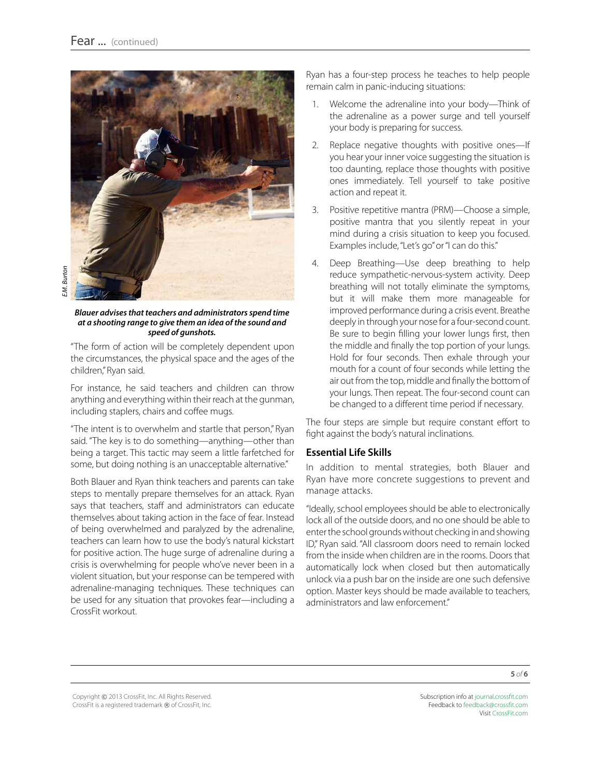

*Blauer advises that teachers and administrators spend time at a shooting range to give them an idea of the sound and speed of gunshots.* 

"The form of action will be completely dependent upon the circumstances, the physical space and the ages of the children," Ryan said.

For instance, he said teachers and children can throw anything and everything within their reach at the gunman, including staplers, chairs and coffee mugs.

"The intent is to overwhelm and startle that person," Ryan said. "The key is to do something—anything—other than being a target. This tactic may seem a little farfetched for some, but doing nothing is an unacceptable alternative."

Both Blauer and Ryan think teachers and parents can take steps to mentally prepare themselves for an attack. Ryan says that teachers, staff and administrators can educate themselves about taking action in the face of fear. Instead of being overwhelmed and paralyzed by the adrenaline, teachers can learn how to use the body's natural kickstart for positive action. The huge surge of adrenaline during a crisis is overwhelming for people who've never been in a violent situation, but your response can be tempered with adrenaline-managing techniques. These techniques can be used for any situation that provokes fear—including a CrossFit workout.

Ryan has a four-step process he teaches to help people remain calm in panic-inducing situations:

- 1. Welcome the adrenaline into your body—Think of the adrenaline as a power surge and tell yourself your body is preparing for success.
- 2. Replace negative thoughts with positive ones—If you hear your inner voice suggesting the situation is too daunting, replace those thoughts with positive ones immediately. Tell yourself to take positive action and repeat it.
- 3. Positive repetitive mantra (PRM)—Choose a simple, positive mantra that you silently repeat in your mind during a crisis situation to keep you focused. Examples include, "Let's go" or "I can do this."
- 4. Deep Breathing—Use deep breathing to help reduce sympathetic-nervous-system activity. Deep breathing will not totally eliminate the symptoms, but it will make them more manageable for improved performance during a crisis event. Breathe deeply in through your nose for a four-second count. Be sure to begin filling your lower lungs first, then the middle and finally the top portion of your lungs. Hold for four seconds. Then exhale through your mouth for a count of four seconds while letting the air out from the top, middle and finally the bottom of your lungs. Then repeat. The four-second count can be changed to a different time period if necessary.

The four steps are simple but require constant effort to fight against the body's natural inclinations.

#### **Essential Life Skills**

In addition to mental strategies, both Blauer and Ryan have more concrete suggestions to prevent and manage attacks.

"Ideally, school employees should be able to electronically lock all of the outside doors, and no one should be able to enter the school grounds without checking in and showing ID," Ryan said. "All classroom doors need to remain locked from the inside when children are in the rooms. Doors that automatically lock when closed but then automatically unlock via a push bar on the inside are one such defensive option. Master keys should be made available to teachers, administrators and law enforcement."

Copyright © 2013 CrossFit, Inc. All Rights Reserved. CrossFit is a registered trademark ® of CrossFit, Inc. Subscription info at [journal.crossfit.com](http://journal.crossfit.com) Feedback to [feedback@crossfit.com](mailto:feedback@crossfit.com) Visit [CrossFit.com](http://www.crossfit.com)